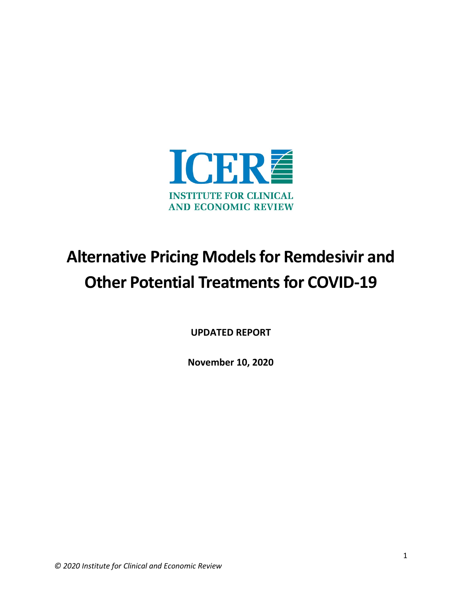

# **Alternative Pricing Models for Remdesivir and Other Potential Treatments for COVID-19**

**UPDATED REPORT**

**November 10, 2020**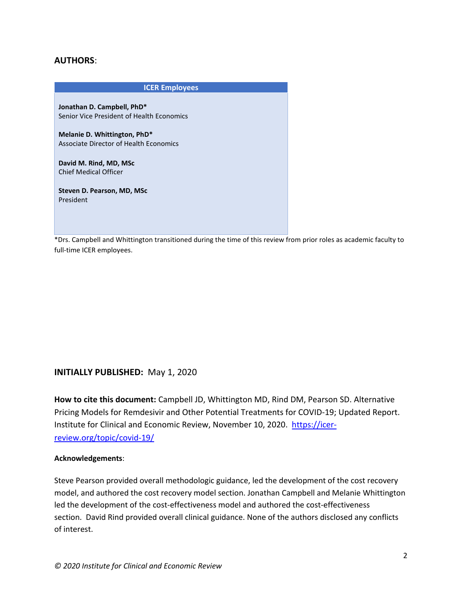## **AUTHORS**:



\*Drs. Campbell and Whittington transitioned during the time of this review from prior roles as academic faculty to full-time ICER employees.

#### **INITIALLY PUBLISHED:** May 1, 2020

**How to cite this document:** Campbell JD, Whittington MD, Rind DM, Pearson SD. Alternative Pricing Models for Remdesivir and Other Potential Treatments for COVID-19; Updated Report. Institute for Clinical and Economic Review, November 10, 2020. [https://icer](https://icer-review.org/topic/covid-19/)[review.org/topic/covid-19/](https://icer-review.org/topic/covid-19/)

#### **Acknowledgements**:

Steve Pearson provided overall methodologic guidance, led the development of the cost recovery model, and authored the cost recovery model section. Jonathan Campbell and Melanie Whittington led the development of the cost-effectiveness model and authored the cost-effectiveness section. David Rind provided overall clinical guidance. None of the authors disclosed any conflicts of interest.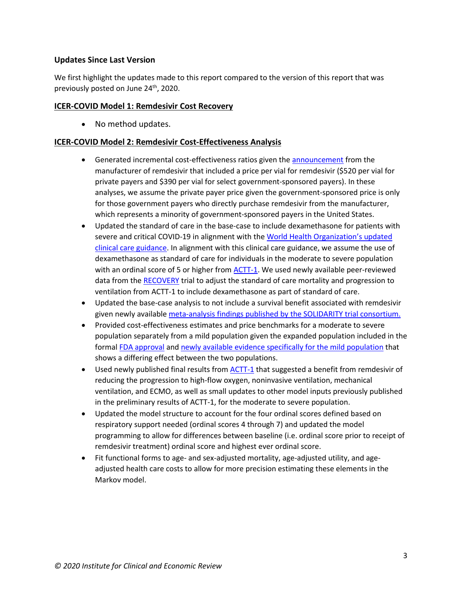## **Updates Since Last Version**

We first highlight the updates made to this report compared to the version of this report that was previously posted on June 24<sup>th</sup>, 2020.

## **ICER-COVID Model 1: Remdesivir Cost Recovery**

• No method updates.

## **ICER-COVID Model 2: Remdesivir Cost-Effectiveness Analysis**

- Generated incremental cost-effectiveness ratios given the [announcement](https://www.gilead.com/news-and-press/press-room/press-releases/2020/6/an-open-letter-from-daniel-oday-chairman--ceo-gilead-sciences#:%7E:text=At%20the%20current%20price%20of,%24390%20per%20vial%20will%20apply.) from the manufacturer of remdesivir that included a price per vial for remdesivir (\$520 per vial for private payers and \$390 per vial for select government-sponsored payers). In these analyses, we assume the private payer price given the government-sponsored price is only for those government payers who directly purchase remdesivir from the manufacturer, which represents a minority of government-sponsored payers in the United States.
- Updated the standard of care in the base-case to include dexamethasone for patients with severe and critical COVID-19 in alignment with th[e World Health Organization's updated](https://www.who.int/news-room/feature-stories/detail/who-updates-clinical-care-guidance-with-corticosteroid-recommendations) [clinical care guidance.](https://www.who.int/news-room/feature-stories/detail/who-updates-clinical-care-guidance-with-corticosteroid-recommendations) In alignment with this clinical care guidance, we assume the use of dexamethasone as standard of care for individuals in the moderate to severe population with an ordinal score of 5 or higher from  $\overline{ACTT-1}$ . We used newly available peer-reviewed data from the [RECOVERY](https://www.nejm.org/doi/full/10.1056/NEJMoa2021436) trial to adjust the standard of care mortality and progression to ventilation from ACTT-1 to include dexamethasone as part of standard of care.
- Updated the base-case analysis to not include a survival benefit associated with remdesivir given newly available meta-analysis findings [published by the SOLIDARITY trial consortium.](https://www.medrxiv.org/content/10.1101/2020.10.15.20209817v1.full.pdf+html)
- Provided cost-effectiveness estimates and price benchmarks for a moderate to severe population separately from a mild population given the expanded population included in the formal [FDA approval](https://www.fda.gov/news-events/press-announcements/fda-approves-first-treatment-covid-19#:%7E:text=Today%2C%20the%20U.S.%20Food%20and,of%20COVID%2D19%20requiring%20hospitalization.) and [newly available evidence](https://jamanetwork.com/journals/jama/fullarticle/2769871) specifically for the mild population that shows a differing effect between the two populations.
- Used newly published final results from [ACTT-1](https://www.nejm.org/doi/full/10.1056/NEJMoa2007764) that suggested a benefit from remdesivir of reducing the progression to high-flow oxygen, noninvasive ventilation, mechanical ventilation, and ECMO, as well as small updates to other model inputs previously published in the preliminary results of ACTT-1, for the moderate to severe population.
- Updated the model structure to account for the four ordinal scores defined based on respiratory support needed (ordinal scores 4 through 7) and updated the model programming to allow for differences between baseline (i.e. ordinal score prior to receipt of remdesivir treatment) ordinal score and highest ever ordinal score.
- Fit functional forms to age- and sex-adjusted mortality, age-adjusted utility, and ageadjusted health care costs to allow for more precision estimating these elements in the Markov model.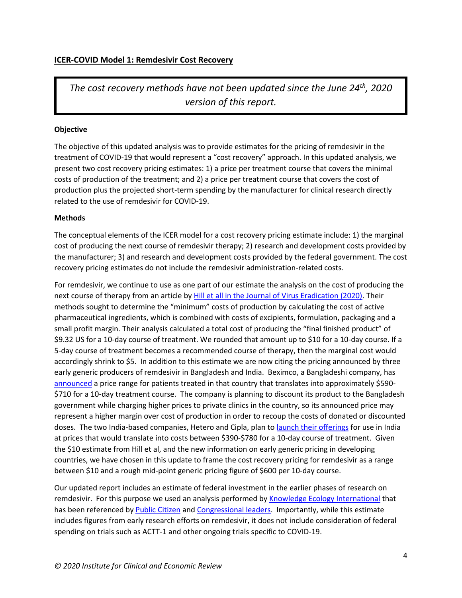*The cost recovery methods have not been updated since the June 24th, 2020 version of this report.*

## **Objective**

The objective of this updated analysis was to provide estimates for the pricing of remdesivir in the treatment of COVID-19 that would represent a "cost recovery" approach. In this updated analysis, we present two cost recovery pricing estimates: 1) a price per treatment course that covers the minimal costs of production of the treatment; and 2) a price per treatment course that covers the cost of production plus the projected short-term spending by the manufacturer for clinical research directly related to the use of remdesivir for COVID-19.

#### **Methods**

The conceptual elements of the ICER model for a cost recovery pricing estimate include: 1) the marginal cost of producing the next course of remdesivir therapy; 2) research and development costs provided by the manufacturer; 3) and research and development costs provided by the federal government. The cost recovery pricing estimates do not include the remdesivir administration-related costs.

For remdesivir, we continue to use as one part of our estimate the analysis on the cost of producing the next course of therapy from an article by [Hill et all in the Journal of Virus Eradication \(2020\).](http://viruseradication.com/journal-details/Minimum_costs_to_manufacture_new_treatments_for_COVID-19/) Their methods sought to determine the "minimum" costs of production by calculating the cost of active pharmaceutical ingredients, which is combined with costs of excipients, formulation, packaging and a small profit margin. Their analysis calculated a total cost of producing the "final finished product" of \$9.32 US for a 10-day course of treatment. We rounded that amount up to \$10 for a 10-day course. If a 5-day course of treatment becomes a recommended course of therapy, then the marginal cost would accordingly shrink to \$5. In addition to this estimate we are now citing the pricing announced by three early generic producers of remdesivir in Bangladesh and India. Beximco, a Bangladeshi company, has [announced](https://www.reuters.com/article/us-health-coronavirus-bangladesh-remdesi/exclusive-bangladeshs-beximco-to-begin-producing-covid-19-drug-remdesivir-coo-idUSKBN22H1DD) a price range for patients treated in that country that translates into approximately \$590- \$710 for a 10-day treatment course. The company is planning to discount its product to the Bangladesh government while charging higher prices to private clinics in the country, so its announced price may represent a higher margin over cost of production in order to recoup the costs of donated or discounted doses. The two India-based companies, Hetero and Cipla, plan t[o launch their offerings](https://seekingalpha.com/news/3584771-remdesivir-okd-in-india-39minus-52-per-dose) for use in India at prices that would translate into costs between \$390-\$780 for a 10-day course of treatment. Given the \$10 estimate from Hill et al, and the new information on early generic pricing in developing countries, we have chosen in this update to frame the cost recovery pricing for remdesivir as a range between \$10 and a rough mid-point generic pricing figure of \$600 per 10-day course.

Our updated report includes an estimate of federal investment in the earlier phases of research on remdesivir. For this purpose we used an analysis performed by [Knowledge Ecology International](https://www.keionline.org/wp-content/uploads/KEI-Briefing-Note-2020_1GS-5734-Remdesivir.pdf) that has been referenced b[y Public Citizen](https://www.citizen.org/article/the-real-story-of-remdesivir/?eType=EmailBlastContent&eId=9bdafb07-71bb-41dc-8726-f80183f3f648) and [Congressional leaders.](https://doggett.house.gov/media-center/in-the-news/cnn-us-governments-supply-only-proven-covid-19-drug-runs-out-end-month) Importantly, while this estimate includes figures from early research efforts on remdesivir, it does not include consideration of federal spending on trials such as ACTT-1 and other ongoing trials specific to COVID-19.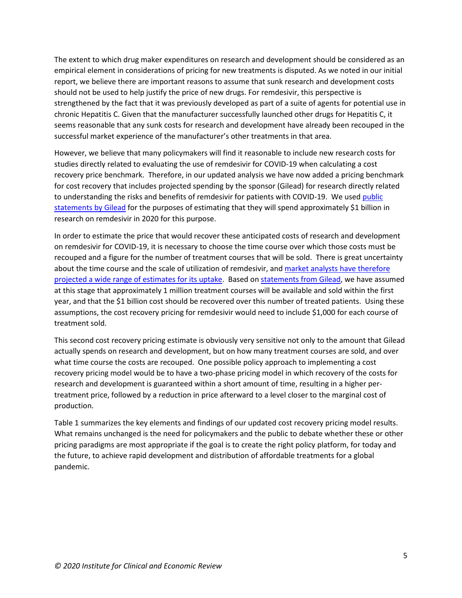The extent to which drug maker expenditures on research and development should be considered as an empirical element in considerations of pricing for new treatments is disputed. As we noted in our initial report, we believe there are important reasons to assume that sunk research and development costs should not be used to help justify the price of new drugs. For remdesivir, this perspective is strengthened by the fact that it was previously developed as part of a suite of agents for potential use in chronic Hepatitis C. Given that the manufacturer successfully launched other drugs for Hepatitis C, it seems reasonable that any sunk costs for research and development have already been recouped in the successful market experience of the manufacturer's other treatments in that area.

However, we believe that many policymakers will find it reasonable to include new research costs for studies directly related to evaluating the use of remdesivir for COVID-19 when calculating a cost recovery price benchmark. Therefore, in our updated analysis we have now added a pricing benchmark for cost recovery that includes projected spending by the sponsor (Gilead) for research directly related to understanding the risks and benefits of remdesivir for patients with COVID-19. We used public [statements by Gilead](https://www.biopharmadive.com/news/gilead-remdesivir-coronavirus-drug-profit/577189/) for the purposes of estimating that they will spend approximately \$1 billion in research on remdesivir in 2020 for this purpose.

In order to estimate the price that would recover these anticipated costs of research and development on remdesivir for COVID-19, it is necessary to choose the time course over which those costs must be recouped and a figure for the number of treatment courses that will be sold. There is great uncertainty about the time course and the scale of utilization of remdesivir, and [market analysts have therefore](https://www.reuters.com/article/us-health-coronavirus-remdesivir/gileads-remdesivir-could-see-7-billion-in-annual-sales-on-stockpiling-boost-analyst-idUSKBN23A2MN)  [projected a wide range of estimates for its uptake.](https://www.reuters.com/article/us-health-coronavirus-remdesivir/gileads-remdesivir-could-see-7-billion-in-annual-sales-on-stockpiling-boost-analyst-idUSKBN23A2MN) Based o[n statements from Gilead,](https://www.biopharmadive.com/news/gilead-remdesivir-coronavirus-drug-profit/577189/) we have assumed at this stage that approximately 1 million treatment courses will be available and sold within the first year, and that the \$1 billion cost should be recovered over this number of treated patients. Using these assumptions, the cost recovery pricing for remdesivir would need to include \$1,000 for each course of treatment sold.

This second cost recovery pricing estimate is obviously very sensitive not only to the amount that Gilead actually spends on research and development, but on how many treatment courses are sold, and over what time course the costs are recouped. One possible policy approach to implementing a cost recovery pricing model would be to have a two-phase pricing model in which recovery of the costs for research and development is guaranteed within a short amount of time, resulting in a higher pertreatment price, followed by a reduction in price afterward to a level closer to the marginal cost of production.

Table 1 summarizes the key elements and findings of our updated cost recovery pricing model results. What remains unchanged is the need for policymakers and the public to debate whether these or other pricing paradigms are most appropriate if the goal is to create the right policy platform, for today and the future, to achieve rapid development and distribution of affordable treatments for a global pandemic.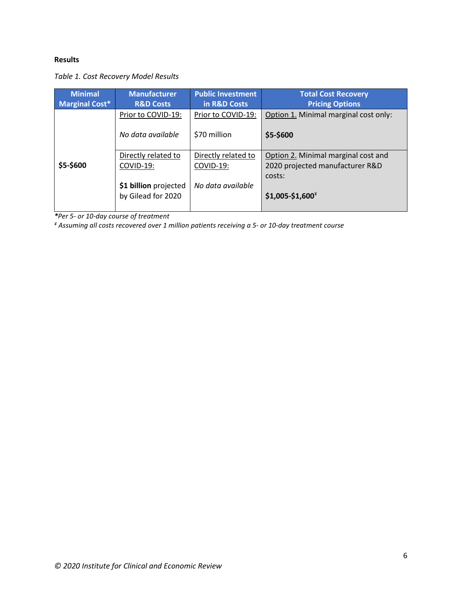## **Results**

*Table 1. Cost Recovery Model Results* 

| <b>Minimal</b> | <b>Manufacturer</b>   | <b>Public Investment</b> | <b>Total Cost Recovery</b>            |
|----------------|-----------------------|--------------------------|---------------------------------------|
| Marginal Cost* | <b>R&amp;D Costs</b>  | in R&D Costs             | <b>Pricing Options</b>                |
|                | Prior to COVID-19:    | Prior to COVID-19:       | Option 1. Minimal marginal cost only: |
|                | No data available     | \$70 million             | \$5-\$600                             |
|                | Directly related to   | Directly related to      | Option 2. Minimal marginal cost and   |
| \$5-\$600      | COVID-19:             | COVID-19:                | 2020 projected manufacturer R&D       |
|                |                       |                          | costs:                                |
|                | \$1 billion projected | No data available        |                                       |
|                | by Gilead for 2020    |                          | $$1,005-$1,600*$                      |
|                |                       |                          |                                       |

*\*Per 5- or 10-day course of treatment*

*¥ Assuming all costs recovered over 1 million patients receiving a 5- or 10-day treatment course*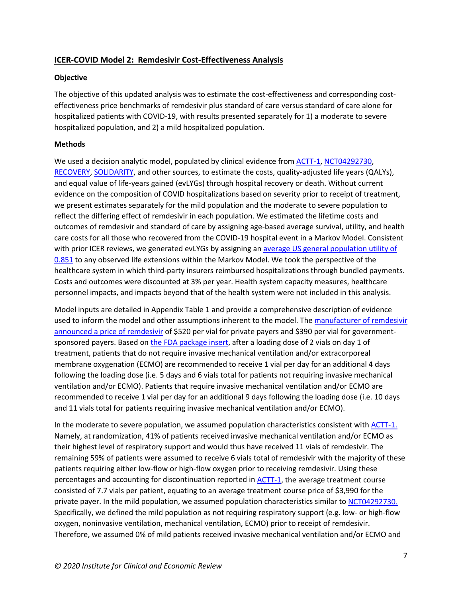## **ICER-COVID Model 2: Remdesivir Cost-Effectiveness Analysis**

#### **Objective**

The objective of this updated analysis was to estimate the cost-effectiveness and corresponding costeffectiveness price benchmarks of remdesivir plus standard of care versus standard of care alone for hospitalized patients with COVID-19, with results presented separately for 1) a moderate to severe hospitalized population, and 2) a mild hospitalized population.

#### **Methods**

We used a decision analytic model, populated by clinical evidence from [ACTT-1,](https://www.nejm.org/doi/full/10.1056/NEJMoa2007764) [NCT04292730,](https://jamanetwork.com/journals/jama/fullarticle/2769871) [RECOVERY,](https://www.nejm.org/doi/full/10.1056/NEJMoa2021436) [SOLIDARITY,](https://www.medrxiv.org/content/10.1101/2020.10.15.20209817v1.full.pdf+html) and other sources, to estimate the costs, quality-adjusted life years (QALYs), and equal value of life-years gained (evLYGs) through hospital recovery or death. Without current evidence on the composition of COVID hospitalizations based on severity prior to receipt of treatment, we present estimates separately for the mild population and the moderate to severe population to reflect the differing effect of remdesivir in each population. We estimated the lifetime costs and outcomes of remdesivir and standard of care by assigning age-based average survival, utility, and health care costs for all those who recovered from the COVID-19 hospital event in a Markov Model. Consistent with prior ICER reviews, we generated evLYGs by assigning an average US general population utility of [0.851](https://pubmed.ncbi.nlm.nih.gov/31426935/) to any observed life extensions within the Markov Model. We took the perspective of the healthcare system in which third-party insurers reimbursed hospitalizations through bundled payments. Costs and outcomes were discounted at 3% per year. Health system capacity measures, healthcare personnel impacts, and impacts beyond that of the health system were not included in this analysis.

Model inputs are detailed in Appendix Table 1 and provide a comprehensive description of evidence used to inform the model and other assumptions inherent to the model. Th[e manufacturer of remdesivir](https://www.gilead.com/news-and-press/press-room/press-releases/2020/6/an-open-letter-from-daniel-oday-chairman--ceo-gilead-sciences#:%7E:text=At%20the%20current%20price%20of,%24390%20per%20vial%20will%20apply.)  [announced a price of remdesivir](https://www.gilead.com/news-and-press/press-room/press-releases/2020/6/an-open-letter-from-daniel-oday-chairman--ceo-gilead-sciences#:%7E:text=At%20the%20current%20price%20of,%24390%20per%20vial%20will%20apply.) of \$520 per vial for private payers and \$390 per vial for governmentsponsored payers. Based o[n the FDA package insert,](https://www.fda.gov/media/137566/download) after a loading dose of 2 vials on day 1 of treatment, patients that do not require invasive mechanical ventilation and/or extracorporeal membrane oxygenation (ECMO) are recommended to receive 1 vial per day for an additional 4 days following the loading dose (i.e. 5 days and 6 vials total for patients not requiring invasive mechanical ventilation and/or ECMO). Patients that require invasive mechanical ventilation and/or ECMO are recommended to receive 1 vial per day for an additional 9 days following the loading dose (i.e. 10 days and 11 vials total for patients requiring invasive mechanical ventilation and/or ECMO).

In the moderate to severe population, we assumed population characteristics consistent with [ACTT-1.](https://www.nejm.org/doi/full/10.1056/NEJMoa2007764) Namely, at randomization, 41% of patients received invasive mechanical ventilation and/or ECMO as their highest level of respiratory support and would thus have received 11 vials of remdesivir. The remaining 59% of patients were assumed to receive 6 vials total of remdesivir with the majority of these patients requiring either low-flow or high-flow oxygen prior to receiving remdesivir. Using these percentages and accounting for discontinuation reported in [ACTT-1,](https://www.nejm.org/doi/full/10.1056/NEJMoa2007764) the average treatment course consisted of 7.7 vials per patient, equating to an average treatment course price of \$3,990 for the private payer. In the mild population, we assumed population characteristics similar t[o NCT04292730.](https://jamanetwork.com/journals/jama/fullarticle/2769871) Specifically, we defined the mild population as not requiring respiratory support (e.g. low- or high-flow oxygen, noninvasive ventilation, mechanical ventilation, ECMO) prior to receipt of remdesivir. Therefore, we assumed 0% of mild patients received invasive mechanical ventilation and/or ECMO and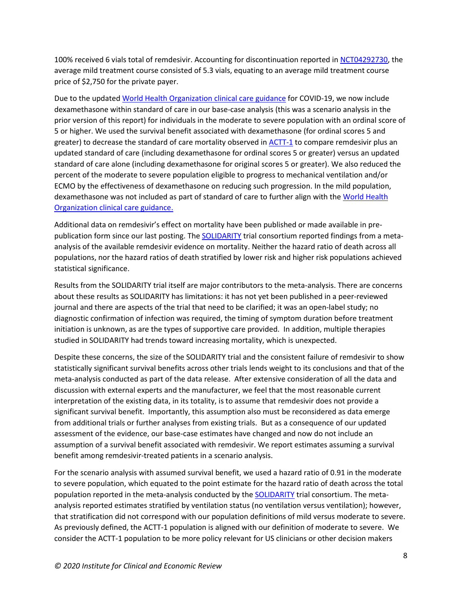100% received 6 vials total of remdesivir. Accounting for discontinuation reported in [NCT04292730,](https://jamanetwork.com/journals/jama/fullarticle/2769871) the average mild treatment course consisted of 5.3 vials, equating to an average mild treatment course price of \$2,750 for the private payer.

Due to the updated [World Health Organization clinical care guidance](https://www.who.int/news-room/feature-stories/detail/who-updates-clinical-care-guidance-with-corticosteroid-recommendations) for COVID-19, we now include dexamethasone within standard of care in our base-case analysis (this was a scenario analysis in the prior version of this report) for individuals in the moderate to severe population with an ordinal score of 5 or higher. We used the survival benefit associated with dexamethasone (for ordinal scores 5 and greater) to decrease the standard of care mortality observed i[n ACTT-1](https://www.nejm.org/doi/full/10.1056/NEJMoa2007764) to compare remdesivir plus an updated standard of care (including dexamethasone for ordinal scores 5 or greater) versus an updated standard of care alone (including dexamethasone for original scores 5 or greater). We also reduced the percent of the moderate to severe population eligible to progress to mechanical ventilation and/or ECMO by the effectiveness of dexamethasone on reducing such progression. In the mild population, dexamethasone was not included as part of standard of care to further align with th[e World Health](https://www.who.int/news-room/feature-stories/detail/who-updates-clinical-care-guidance-with-corticosteroid-recommendations)  [Organization clinical care guidance.](https://www.who.int/news-room/feature-stories/detail/who-updates-clinical-care-guidance-with-corticosteroid-recommendations)

Additional data on remdesivir's effect on mortality have been published or made available in prepublication form since our last posting. The **SOLIDARITY** trial consortium reported findings from a metaanalysis of the available remdesivir evidence on mortality. Neither the hazard ratio of death across all populations, nor the hazard ratios of death stratified by lower risk and higher risk populations achieved statistical significance.

Results from the SOLIDARITY trial itself are major contributors to the meta-analysis. There are concerns about these results as SOLIDARITY has limitations: it has not yet been published in a peer-reviewed journal and there are aspects of the trial that need to be clarified; it was an open-label study; no diagnostic confirmation of infection was required, the timing of symptom duration before treatment initiation is unknown, as are the types of supportive care provided. In addition, multiple therapies studied in SOLIDARITY had trends toward increasing mortality, which is unexpected.

Despite these concerns, the size of the SOLIDARITY trial and the consistent failure of remdesivir to show statistically significant survival benefits across other trials lends weight to its conclusions and that of the meta-analysis conducted as part of the data release. After extensive consideration of all the data and discussion with external experts and the manufacturer, we feel that the most reasonable current interpretation of the existing data, in its totality, is to assume that remdesivir does not provide a significant survival benefit. Importantly, this assumption also must be reconsidered as data emerge from additional trials or further analyses from existing trials. But as a consequence of our updated assessment of the evidence, our base-case estimates have changed and now do not include an assumption of a survival benefit associated with remdesivir. We report estimates assuming a survival benefit among remdesivir-treated patients in a scenario analysis.

For the scenario analysis with assumed survival benefit, we used a hazard ratio of 0.91 in the moderate to severe population, which equated to the point estimate for the hazard ratio of death across the total population reported in the meta-analysis conducted by the [SOLIDARITY](https://www.medrxiv.org/content/10.1101/2020.10.15.20209817v1.full-text) trial consortium. The metaanalysis reported estimates stratified by ventilation status (no ventilation versus ventilation); however, that stratification did not correspond with our population definitions of mild versus moderate to severe. As previously defined, the ACTT-1 population is aligned with our definition of moderate to severe. We consider the ACTT-1 population to be more policy relevant for US clinicians or other decision makers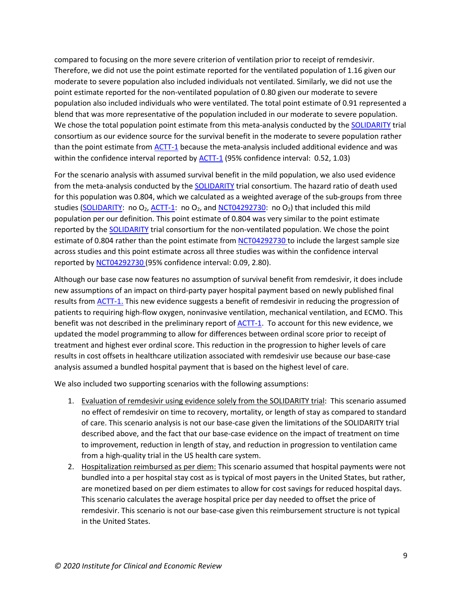compared to focusing on the more severe criterion of ventilation prior to receipt of remdesivir. Therefore, we did not use the point estimate reported for the ventilated population of 1.16 given our moderate to severe population also included individuals not ventilated. Similarly, we did not use the point estimate reported for the non-ventilated population of 0.80 given our moderate to severe population also included individuals who were ventilated. The total point estimate of 0.91 represented a blend that was more representative of the population included in our moderate to severe population. We chose the total population point estimate from this meta-analysis conducted by th[e SOLIDARITY](https://www.medrxiv.org/content/10.1101/2020.10.15.20209817v1.full-text) trial consortium as our evidence source for the survival benefit in the moderate to severe population rather than the point estimate fro[m ACTT-1](https://www.nejm.org/doi/full/10.1056/NEJMoa2007764) because the meta-analysis included additional evidence and was within the confidence interval reported by **[ACTT-1](https://www.nejm.org/doi/full/10.1056/NEJMoa2007764)** (95% confidence interval: 0.52, 1.03)

For the scenario analysis with assumed survival benefit in the mild population, we also used evidence from the meta-analysis conducted by the **SOLIDARITY** trial consortium. The hazard ratio of death used for this population was 0.804, which we calculated as a weighted average of the sub-groups from three studies [\(SOLIDARITY:](https://www.medrxiv.org/content/10.1101/2020.10.15.20209817v1.full-text) no O<sub>2</sub>, [ACTT-1:](https://www.nejm.org/doi/full/10.1056/NEJMoa2007764) no O<sub>2</sub>, and [NCT04292730:](https://jamanetwork.com/journals/jama/fullarticle/2769871) no O<sub>2</sub>) that included this mild population per our definition. This point estimate of 0.804 was very similar to the point estimate reported by the [SOLIDARITY](https://www.medrxiv.org/content/10.1101/2020.10.15.20209817v1.full-text) trial consortium for the non-ventilated population. We chose the point estimate of 0.804 rather than the point estimate from [NCT04292730](https://jamanetwork.com/journals/jama/fullarticle/2769871) to include the largest sample size across studies and this point estimate across all three studies was within the confidence interval reported by [NCT04292730](https://jamanetwork.com/journals/jama/fullarticle/2769871) (95% confidence interval: 0.09, 2.80).

Although our base case now features no assumption of survival benefit from remdesivir, it does include new assumptions of an impact on third-party payer hospital payment based on newly published final results fro[m ACTT-1.](https://www.nejm.org/doi/full/10.1056/NEJMoa2007764) This new evidence suggests a benefit of remdesivir in reducing the progression of patients to requiring high-flow oxygen, noninvasive ventilation, mechanical ventilation, and ECMO. This benefit was not described in the preliminary report of [ACTT-1.](https://www.nejm.org/doi/full/10.1056/NEJMoa2007764) To account for this new evidence, we updated the model programming to allow for differences between ordinal score prior to receipt of treatment and highest ever ordinal score. This reduction in the progression to higher levels of care results in cost offsets in healthcare utilization associated with remdesivir use because our base-case analysis assumed a bundled hospital payment that is based on the highest level of care.

We also included two supporting scenarios with the following assumptions:

- 1. Evaluation of remdesivir using evidence solely from the SOLIDARITY trial: This scenario assumed no effect of remdesivir on time to recovery, mortality, or length of stay as compared to standard of care. This scenario analysis is not our base-case given the limitations of the SOLIDARITY trial described above, and the fact that our base-case evidence on the impact of treatment on time to improvement, reduction in length of stay, and reduction in progression to ventilation came from a high-quality trial in the US health care system.
- 2. Hospitalization reimbursed as per diem: This scenario assumed that hospital payments were not bundled into a per hospital stay cost as is typical of most payers in the United States, but rather, are monetized based on per diem estimates to allow for cost savings for reduced hospital days. This scenario calculates the average hospital price per day needed to offset the price of remdesivir. This scenario is not our base-case given this reimbursement structure is not typical in the United States.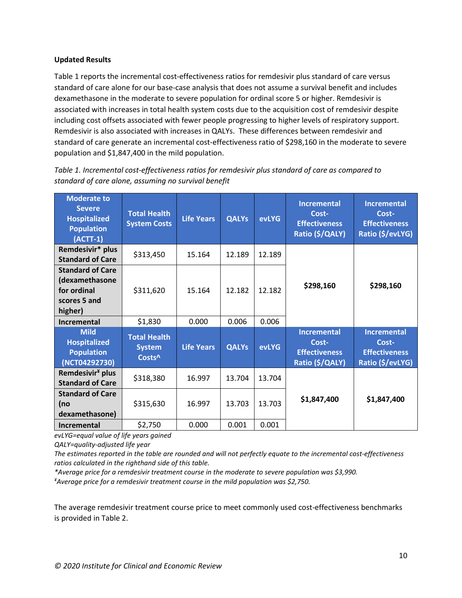#### **Updated Results**

Table 1 reports the incremental cost-effectiveness ratios for remdesivir plus standard of care versus standard of care alone for our base-case analysis that does not assume a survival benefit and includes dexamethasone in the moderate to severe population for ordinal score 5 or higher. Remdesivir is associated with increases in total health system costs due to the acquisition cost of remdesivir despite including cost offsets associated with fewer people progressing to higher levels of respiratory support. Remdesivir is also associated with increases in QALYs. These differences between remdesivir and standard of care generate an incremental cost-effectiveness ratio of \$298,160 in the moderate to severe population and \$1,847,400 in the mild population.

| <b>Moderate to</b><br><b>Severe</b><br><b>Hospitalized</b><br><b>Population</b><br>$(ACTT-1)$ | <b>Total Health</b><br><b>System Costs</b>                 | <b>Life Years</b> | <b>QALYs</b> | <b>evLYG</b> | <b>Incremental</b><br>Cost-<br><b>Effectiveness</b><br>Ratio (\$/QALY) | <b>Incremental</b><br>Cost-<br><b>Effectiveness</b><br>Ratio (\$/evLYG) |
|-----------------------------------------------------------------------------------------------|------------------------------------------------------------|-------------------|--------------|--------------|------------------------------------------------------------------------|-------------------------------------------------------------------------|
| Remdesivir* plus<br><b>Standard of Care</b>                                                   | \$313,450                                                  | 15.164            | 12.189       | 12.189       |                                                                        |                                                                         |
| <b>Standard of Care</b><br>(dexamethasone<br>for ordinal<br>scores 5 and<br>higher)           | \$311,620                                                  | 15.164            | 12.182       | 12.182       | \$298,160                                                              | \$298,160                                                               |
| Incremental                                                                                   | \$1,830                                                    | 0.000             | 0.006        | 0.006        |                                                                        |                                                                         |
| <b>Mild</b><br><b>Hospitalized</b><br><b>Population</b><br>(NCT04292730)                      | <b>Total Health</b><br><b>System</b><br>Costs <sup>^</sup> | <b>Life Years</b> | <b>QALYs</b> | <b>evLYG</b> | <b>Incremental</b><br>Cost-<br><b>Effectiveness</b><br>Ratio (\$/QALY) | <b>Incremental</b><br>Cost-<br><b>Effectiveness</b><br>Ratio (\$/evLYG) |
| Remdesivir <sup>¥</sup> plus<br><b>Standard of Care</b>                                       | \$318,380                                                  | 16.997            | 13.704       | 13.704       |                                                                        |                                                                         |
| <b>Standard of Care</b><br>(no<br>dexamethasone)                                              | \$315,630                                                  | 16.997            | 13.703       | 13.703       | \$1,847,400                                                            | \$1,847,400                                                             |
| <b>Incremental</b>                                                                            | \$2,750                                                    | 0.000             | 0.001        | 0.001        |                                                                        |                                                                         |

*Table 1. Incremental cost-effectiveness ratios for remdesivir plus standard of care as compared to standard of care alone, assuming no survival benefit*

*evLYG=equal value of life years gained*

*QALY=quality-adjusted life year*

*The estimates reported in the table are rounded and will not perfectly equate to the incremental cost-effectiveness ratios calculated in the righthand side of this table.* 

*\*Average price for a remdesivir treatment course in the moderate to severe population was \$3,990.*

*¥ Average price for a remdesivir treatment course in the mild population was \$2,750.*

The average remdesivir treatment course price to meet commonly used cost-effectiveness benchmarks is provided in Table 2.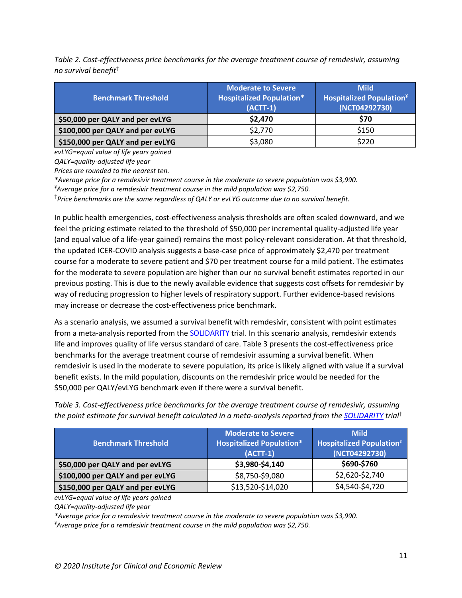*Table 2. Cost-effectiveness price benchmarks for the average treatment course of remdesivir, assuming no survival benefit*†

| <b>Benchmark Threshold</b>       | <b>Moderate to Severe</b><br><b>Hospitalized Population*</b><br>$(ACTT-1)$ | <b>Mild</b><br><b>Hospitalized Population</b> <sup>¥</sup><br>(NCT04292730) |
|----------------------------------|----------------------------------------------------------------------------|-----------------------------------------------------------------------------|
| \$50,000 per QALY and per evLYG  | \$2,470                                                                    | \$70                                                                        |
| \$100,000 per QALY and per evLYG | \$2,770                                                                    | \$150                                                                       |
| \$150,000 per QALY and per evLYG | \$3,080                                                                    | \$220                                                                       |

*evLYG=equal value of life years gained*

*QALY=quality-adjusted life year*

*Prices are rounded to the nearest ten.*

*\*Average price for a remdesivir treatment course in the moderate to severe population was \$3,990.*

*¥ Average price for a remdesivir treatment course in the mild population was \$2,750.*

† *Price benchmarks are the same regardless of QALY or evLYG outcome due to no survival benefit.* 

In public health emergencies, cost-effectiveness analysis thresholds are often scaled downward, and we feel the pricing estimate related to the threshold of \$50,000 per incremental quality-adjusted life year (and equal value of a life-year gained) remains the most policy-relevant consideration. At that threshold, the updated ICER-COVID analysis suggests a base-case price of approximately \$2,470 per treatment course for a moderate to severe patient and \$70 per treatment course for a mild patient. The estimates for the moderate to severe population are higher than our no survival benefit estimates reported in our previous posting. This is due to the newly available evidence that suggests cost offsets for remdesivir by way of reducing progression to higher levels of respiratory support. Further evidence-based revisions may increase or decrease the cost-effectiveness price benchmark.

As a scenario analysis, we assumed a survival benefit with remdesivir, consistent with point estimates from a meta-analysis reported from the **[SOLIDARITY](https://www.medrxiv.org/content/10.1101/2020.10.15.20209817v1.full.pdf+html)** trial. In this scenario analysis, remdesivir extends life and improves quality of life versus standard of care. Table 3 presents the cost-effectiveness price benchmarks for the average treatment course of remdesivir assuming a survival benefit. When remdesivir is used in the moderate to severe population, its price is likely aligned with value if a survival benefit exists. In the mild population, discounts on the remdesivir price would be needed for the \$50,000 per QALY/evLYG benchmark even if there were a survival benefit.

*Table 3. Cost-effectiveness price benchmarks for the average treatment course of remdesivir, assuming the point estimate for survival benefit calculated in a meta-analysis reported from the [SOLIDARITY](https://www.medrxiv.org/content/10.1101/2020.10.15.20209817v1.full.pdf+html) trial*†

| <b>Benchmark Threshold</b>       | <b>Moderate to Severe</b><br><b>Hospitalized Population*</b><br>$(ACTT-1)$ | <b>Mild</b><br><b>Hospitalized Population</b> $*$<br>(NCT04292730) |  |
|----------------------------------|----------------------------------------------------------------------------|--------------------------------------------------------------------|--|
| \$50,000 per QALY and per evLYG  | \$3,980-\$4,140                                                            | \$690-\$760                                                        |  |
| \$100,000 per QALY and per evLYG | \$8,750-\$9,080                                                            | \$2,620-\$2,740                                                    |  |
| \$150,000 per QALY and per evLYG | \$13,520-\$14,020                                                          | \$4,540-\$4,720                                                    |  |

*evLYG=equal value of life years gained*

*QALY=quality-adjusted life year*

*\*Average price for a remdesivir treatment course in the moderate to severe population was \$3,990.*

*¥ Average price for a remdesivir treatment course in the mild population was \$2,750.*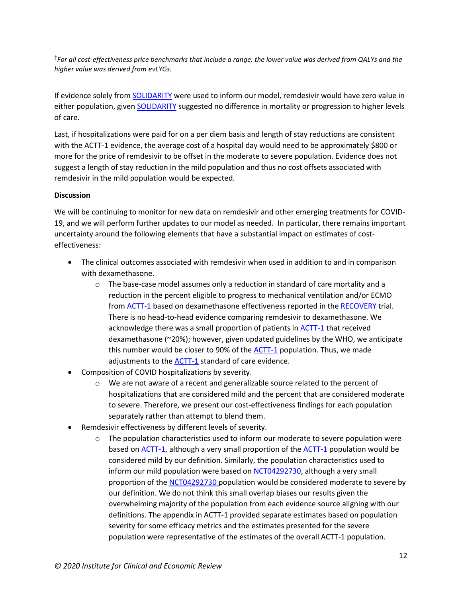† *For all cost-effectiveness price benchmarks that include a range, the lower value was derived from QALYs and the higher value was derived from evLYGs.* 

If evidence solely from **SOLIDARITY** were used to inform our model, remdesivir would have zero value in either population, give[n SOLIDARITY](https://www.medrxiv.org/content/10.1101/2020.10.15.20209817v1.full.pdf+html) suggested no difference in mortality or progression to higher levels of care.

Last, if hospitalizations were paid for on a per diem basis and length of stay reductions are consistent with the ACTT-1 evidence, the average cost of a hospital day would need to be approximately \$800 or more for the price of remdesivir to be offset in the moderate to severe population. Evidence does not suggest a length of stay reduction in the mild population and thus no cost offsets associated with remdesivir in the mild population would be expected.

#### **Discussion**

We will be continuing to monitor for new data on remdesivir and other emerging treatments for COVID-19, and we will perform further updates to our model as needed. In particular, there remains important uncertainty around the following elements that have a substantial impact on estimates of costeffectiveness:

- The clinical outcomes associated with remdesivir when used in addition to and in comparison with dexamethasone.
	- $\circ$  The base-case model assumes only a reduction in standard of care mortality and a reduction in the percent eligible to progress to mechanical ventilation and/or ECMO from [ACTT-1](https://www.nejm.org/doi/full/10.1056/NEJMoa2007764) based on dexamethasone effectiveness reported in th[e RECOVERY](https://www.nejm.org/doi/full/10.1056/NEJMoa2021436) trial. There is no head-to-head evidence comparing remdesivir to dexamethasone. We acknowledge there was a small proportion of patients in **ACTT-1** that received dexamethasone (~20%); however, given updated guidelines by the WHO, we anticipate this number would be closer to 90% of the [ACTT-1](https://www.nejm.org/doi/full/10.1056/NEJMoa2007764) population. Thus, we made adjustments to the **ACTT-1** standard of care evidence.
- Composition of COVID hospitalizations by severity.
	- $\circ$  We are not aware of a recent and generalizable source related to the percent of hospitalizations that are considered mild and the percent that are considered moderate to severe. Therefore, we present our cost-effectiveness findings for each population separately rather than attempt to blend them.
- Remdesivir effectiveness by different levels of severity.
	- $\circ$  The population characteristics used to inform our moderate to severe population were based on [ACTT-1,](https://www.nejm.org/doi/full/10.1056/NEJMoa2007764) although a very small proportion of the [ACTT-1](https://www.nejm.org/doi/full/10.1056/NEJMoa2007764) population would be considered mild by our definition. Similarly, the population characteristics used to inform our mild population were based on [NCT04292730,](https://jamanetwork.com/journals/jama/fullarticle/2769871) although a very small proportion of the [NCT04292730](https://jamanetwork.com/journals/jama/fullarticle/2769871) population would be considered moderate to severe by our definition. We do not think this small overlap biases our results given the overwhelming majority of the population from each evidence source aligning with our definitions. The appendix in ACTT-1 provided separate estimates based on population severity for some efficacy metrics and the estimates presented for the severe population were representative of the estimates of the overall ACTT-1 population.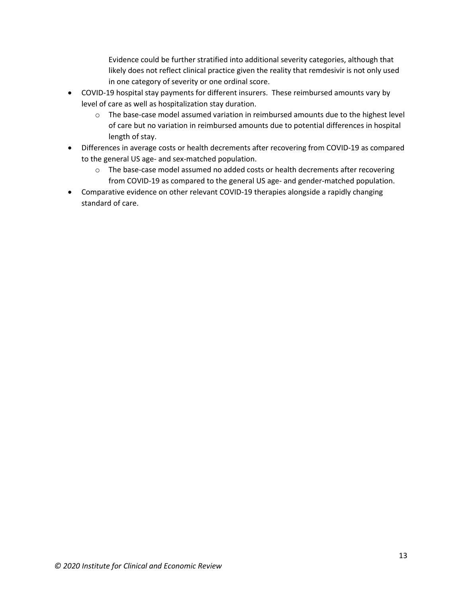Evidence could be further stratified into additional severity categories, although that likely does not reflect clinical practice given the reality that remdesivir is not only used in one category of severity or one ordinal score.

- COVID-19 hospital stay payments for different insurers. These reimbursed amounts vary by level of care as well as hospitalization stay duration.
	- $\circ$  The base-case model assumed variation in reimbursed amounts due to the highest level of care but no variation in reimbursed amounts due to potential differences in hospital length of stay.
- Differences in average costs or health decrements after recovering from COVID-19 as compared to the general US age- and sex-matched population.
	- o The base-case model assumed no added costs or health decrements after recovering from COVID-19 as compared to the general US age- and gender-matched population.
- Comparative evidence on other relevant COVID-19 therapies alongside a rapidly changing standard of care.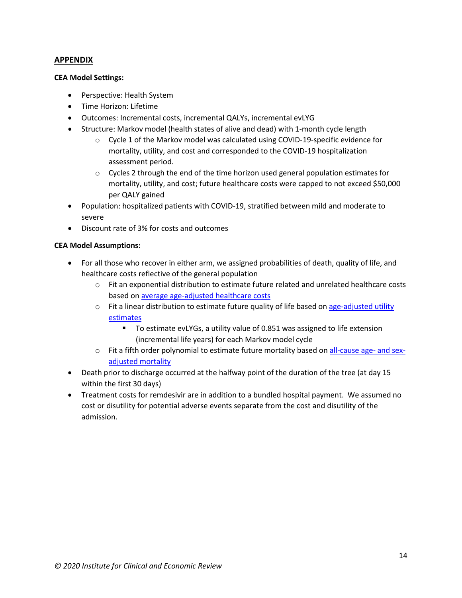#### **APPENDIX**

#### **CEA Model Settings:**

- Perspective: Health System
- Time Horizon: Lifetime
- Outcomes: Incremental costs, incremental QALYs, incremental evLYG
- Structure: Markov model (health states of alive and dead) with 1-month cycle length
	- o Cycle 1 of the Markov model was calculated using COVID-19-specific evidence for mortality, utility, and cost and corresponded to the COVID-19 hospitalization assessment period.
	- $\circ$  Cycles 2 through the end of the time horizon used general population estimates for mortality, utility, and cost; future healthcare costs were capped to not exceed \$50,000 per QALY gained
- Population: hospitalized patients with COVID-19, stratified between mild and moderate to severe
- Discount rate of 3% for costs and outcomes

#### **CEA Model Assumptions:**

- For all those who recover in either arm, we assigned probabilities of death, quality of life, and healthcare costs reflective of the general population
	- $\circ$  Fit an exponential distribution to estimate future related and unrelated healthcare costs based on [average age-adjusted healthcare costs](https://www.cms.gov/Research-Statistics-Data-and-Systems/Statistics-Trends-and-Reports/NationalHealthExpendData/Age-and-Gender.html)
	- $\circ$  Fit a linear distribution to estimate future quality of life based on [age-adjusted utility](https://www.ncbi.nlm.nih.gov/pubmed/16855129) estimates
		- To estimate evLYGs, a utility value of 0.851 was assigned to life extension (incremental life years) for each Markov model cycle
	- $\circ$  Fit a fifth order polynomial to estimate future mortality based on [all-cause age-](https://www.ssa.gov/oact/STATS/table4c6.html) and sex[adjusted mortality](https://www.ssa.gov/oact/STATS/table4c6.html)
- Death prior to discharge occurred at the halfway point of the duration of the tree (at day 15 within the first 30 days)
- Treatment costs for remdesivir are in addition to a bundled hospital payment. We assumed no cost or disutility for potential adverse events separate from the cost and disutility of the admission.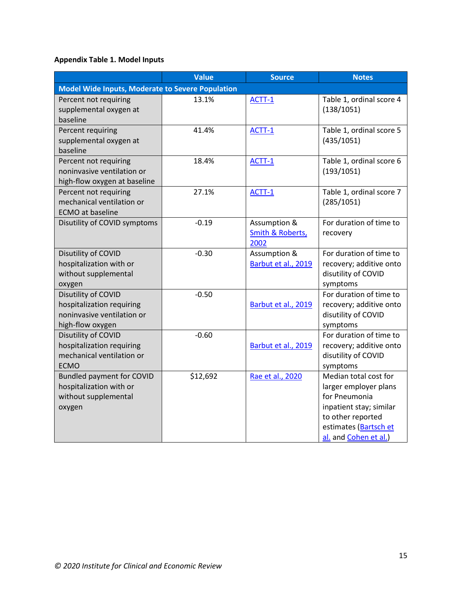## **Appendix Table 1. Model Inputs**

|                                                                                                    | <b>Value</b> | <b>Source</b>                            | <b>Notes</b>                                                                                                                                                      |
|----------------------------------------------------------------------------------------------------|--------------|------------------------------------------|-------------------------------------------------------------------------------------------------------------------------------------------------------------------|
| <b>Model Wide Inputs, Moderate to Severe Population</b>                                            |              |                                          |                                                                                                                                                                   |
| Percent not requiring<br>supplemental oxygen at<br>baseline                                        | 13.1%        | ACTT-1                                   | Table 1, ordinal score 4<br>(138/1051)                                                                                                                            |
| Percent requiring<br>supplemental oxygen at<br>baseline                                            | 41.4%        | ACTT-1                                   | Table 1, ordinal score 5<br>(435/1051)                                                                                                                            |
| Percent not requiring<br>noninvasive ventilation or<br>high-flow oxygen at baseline                | 18.4%        | ACTT-1                                   | Table 1, ordinal score 6<br>(193/1051)                                                                                                                            |
| Percent not requiring<br>mechanical ventilation or<br><b>ECMO</b> at baseline                      | 27.1%        | ACTT-1                                   | Table 1, ordinal score 7<br>(285/1051)                                                                                                                            |
| Disutility of COVID symptoms                                                                       | $-0.19$      | Assumption &<br>Smith & Roberts,<br>2002 | For duration of time to<br>recovery                                                                                                                               |
| Disutility of COVID<br>hospitalization with or<br>without supplemental<br>oxygen                   | $-0.30$      | Assumption &<br>Barbut et al., 2019      | For duration of time to<br>recovery; additive onto<br>disutility of COVID<br>symptoms                                                                             |
| Disutility of COVID<br>hospitalization requiring<br>noninvasive ventilation or<br>high-flow oxygen | $-0.50$      | Barbut et al., 2019                      | For duration of time to<br>recovery; additive onto<br>disutility of COVID<br>symptoms                                                                             |
| Disutility of COVID<br>hospitalization requiring<br>mechanical ventilation or<br><b>ECMO</b>       | $-0.60$      | Barbut et al., 2019                      | For duration of time to<br>recovery; additive onto<br>disutility of COVID<br>symptoms                                                                             |
| <b>Bundled payment for COVID</b><br>hospitalization with or<br>without supplemental<br>oxygen      | \$12,692     | Rae et al., 2020                         | Median total cost for<br>larger employer plans<br>for Pneumonia<br>inpatient stay; similar<br>to other reported<br>estimates (Bartsch et<br>al. and Cohen et al.) |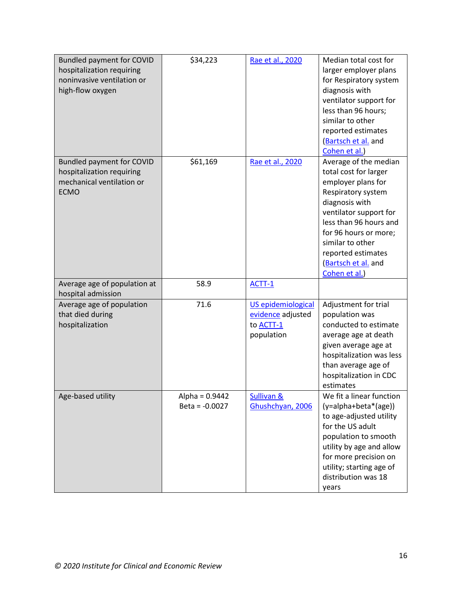| <b>Bundled payment for COVID</b><br>hospitalization requiring<br>noninvasive ventilation or<br>high-flow oxygen | \$34,223                             | Rae et al., 2020                                                          | Median total cost for<br>larger employer plans<br>for Respiratory system<br>diagnosis with<br>ventilator support for<br>less than 96 hours;<br>similar to other<br>reported estimates<br><b>Bartsch et al.</b> and<br>Cohen et al.)                                               |
|-----------------------------------------------------------------------------------------------------------------|--------------------------------------|---------------------------------------------------------------------------|-----------------------------------------------------------------------------------------------------------------------------------------------------------------------------------------------------------------------------------------------------------------------------------|
| <b>Bundled payment for COVID</b><br>hospitalization requiring<br>mechanical ventilation or<br><b>ECMO</b>       | \$61,169                             | Rae et al., 2020                                                          | Average of the median<br>total cost for larger<br>employer plans for<br>Respiratory system<br>diagnosis with<br>ventilator support for<br>less than 96 hours and<br>for 96 hours or more;<br>similar to other<br>reported estimates<br><b>Bartsch et al.</b> and<br>Cohen et al.) |
| Average age of population at<br>hospital admission                                                              | 58.9                                 | ACTT-1                                                                    |                                                                                                                                                                                                                                                                                   |
| Average age of population<br>that died during<br>hospitalization                                                | 71.6                                 | US epidemiological<br>evidence adjusted<br>to <b>ACTT-1</b><br>population | Adjustment for trial<br>population was<br>conducted to estimate<br>average age at death<br>given average age at<br>hospitalization was less<br>than average age of<br>hospitalization in CDC<br>estimates                                                                         |
| Age-based utility                                                                                               | Alpha = $0.9442$<br>$Beta = -0.0027$ | <b>Sullivan &amp;</b><br>Ghushchyan, 2006                                 | We fit a linear function<br>(y=alpha+beta*(age))<br>to age-adjusted utility<br>for the US adult<br>population to smooth<br>utility by age and allow<br>for more precision on<br>utility; starting age of<br>distribution was 18<br>years                                          |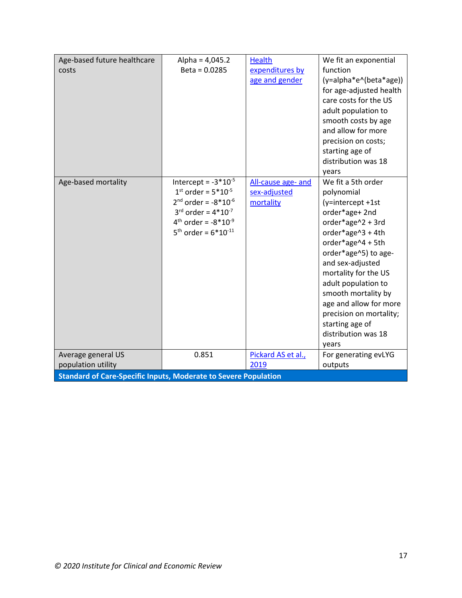| Age-based future healthcare                                            | Alpha = $4,045.2$                    | <b>Health</b>      | We fit an exponential   |  |
|------------------------------------------------------------------------|--------------------------------------|--------------------|-------------------------|--|
| costs                                                                  | $Beta = 0.0285$                      | expenditures by    | function                |  |
|                                                                        |                                      | age and gender     | (y=alpha*e^(beta*age))  |  |
|                                                                        |                                      |                    | for age-adjusted health |  |
|                                                                        |                                      |                    | care costs for the US   |  |
|                                                                        |                                      |                    | adult population to     |  |
|                                                                        |                                      |                    | smooth costs by age     |  |
|                                                                        |                                      |                    | and allow for more      |  |
|                                                                        |                                      |                    | precision on costs;     |  |
|                                                                        |                                      |                    | starting age of         |  |
|                                                                        |                                      |                    | distribution was 18     |  |
|                                                                        |                                      |                    | years                   |  |
| Age-based mortality                                                    | Intercept = $-3*10^{-5}$             | All-cause age- and | We fit a 5th order      |  |
|                                                                        | $1^{st}$ order = $5*10^{-5}$         | sex-adjusted       | polynomial              |  |
|                                                                        | $2^{nd}$ order = -8*10 <sup>-6</sup> | mortality          | (y=intercept +1st       |  |
|                                                                        | $3^{rd}$ order = $4*10^{-7}$         |                    | order*age+2nd           |  |
|                                                                        | $4^{th}$ order = $-8*10^{-9}$        |                    | order*age^2 + 3rd       |  |
|                                                                        | $5^{th}$ order = $6*10^{-11}$        |                    | order*age^3 + 4th       |  |
|                                                                        |                                      |                    | order*age^4 + 5th       |  |
|                                                                        |                                      |                    | order*age^5) to age-    |  |
|                                                                        |                                      |                    | and sex-adjusted        |  |
|                                                                        |                                      |                    | mortality for the US    |  |
|                                                                        |                                      |                    | adult population to     |  |
|                                                                        |                                      |                    | smooth mortality by     |  |
|                                                                        |                                      |                    | age and allow for more  |  |
|                                                                        |                                      |                    | precision on mortality; |  |
|                                                                        |                                      |                    | starting age of         |  |
|                                                                        |                                      |                    | distribution was 18     |  |
|                                                                        |                                      |                    | years                   |  |
| Average general US                                                     | 0.851                                | Pickard AS et al., | For generating evLYG    |  |
| population utility                                                     |                                      | 2019               | outputs                 |  |
| <b>Standard of Care-Specific Inputs, Moderate to Severe Population</b> |                                      |                    |                         |  |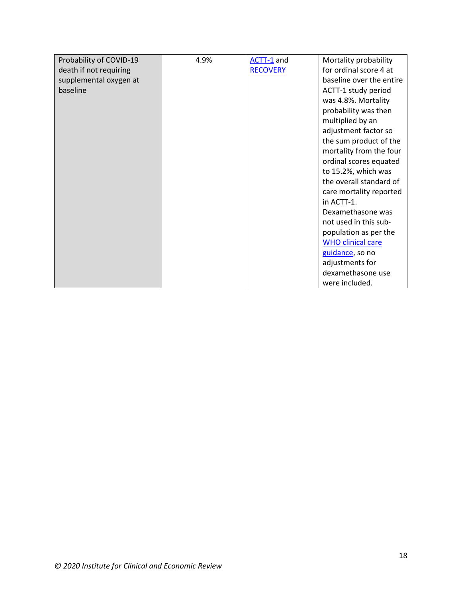| Probability of COVID-19 | 4.9% | ACTT-1 and      | Mortality probability    |
|-------------------------|------|-----------------|--------------------------|
| death if not requiring  |      | <b>RECOVERY</b> | for ordinal score 4 at   |
| supplemental oxygen at  |      |                 | baseline over the entire |
| baseline                |      |                 | ACTT-1 study period      |
|                         |      |                 | was 4.8%. Mortality      |
|                         |      |                 | probability was then     |
|                         |      |                 | multiplied by an         |
|                         |      |                 | adjustment factor so     |
|                         |      |                 | the sum product of the   |
|                         |      |                 |                          |
|                         |      |                 | mortality from the four  |
|                         |      |                 | ordinal scores equated   |
|                         |      |                 | to 15.2%, which was      |
|                         |      |                 | the overall standard of  |
|                         |      |                 | care mortality reported  |
|                         |      |                 | in ACTT-1.               |
|                         |      |                 | Dexamethasone was        |
|                         |      |                 | not used in this sub-    |
|                         |      |                 | population as per the    |
|                         |      |                 | <b>WHO clinical care</b> |
|                         |      |                 | guidance, so no          |
|                         |      |                 | adjustments for          |
|                         |      |                 | dexamethasone use        |
|                         |      |                 | were included.           |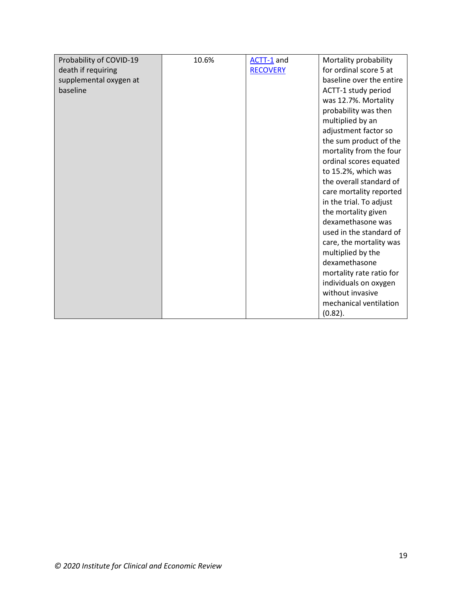| Probability of COVID-19 | 10.6% | ACTT-1 and      | Mortality probability    |
|-------------------------|-------|-----------------|--------------------------|
| death if requiring      |       | <b>RECOVERY</b> | for ordinal score 5 at   |
| supplemental oxygen at  |       |                 | baseline over the entire |
| baseline                |       |                 | ACTT-1 study period      |
|                         |       |                 | was 12.7%. Mortality     |
|                         |       |                 | probability was then     |
|                         |       |                 | multiplied by an         |
|                         |       |                 | adjustment factor so     |
|                         |       |                 | the sum product of the   |
|                         |       |                 | mortality from the four  |
|                         |       |                 | ordinal scores equated   |
|                         |       |                 | to 15.2%, which was      |
|                         |       |                 | the overall standard of  |
|                         |       |                 | care mortality reported  |
|                         |       |                 | in the trial. To adjust  |
|                         |       |                 | the mortality given      |
|                         |       |                 | dexamethasone was        |
|                         |       |                 | used in the standard of  |
|                         |       |                 | care, the mortality was  |
|                         |       |                 | multiplied by the        |
|                         |       |                 | dexamethasone            |
|                         |       |                 | mortality rate ratio for |
|                         |       |                 | individuals on oxygen    |
|                         |       |                 | without invasive         |
|                         |       |                 | mechanical ventilation   |
|                         |       |                 | $(0.82)$ .               |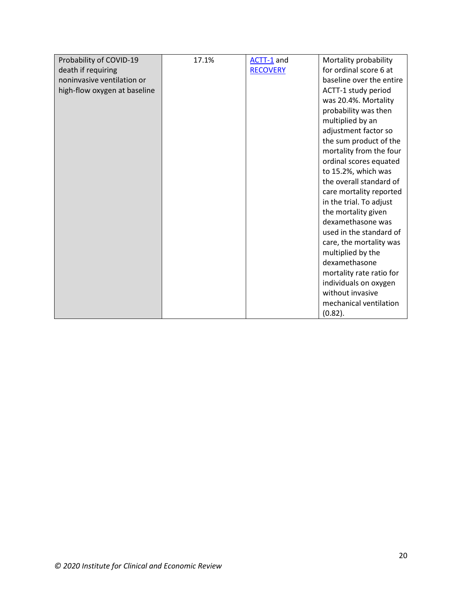| Probability of COVID-19      | 17.1% | ACTT-1 and      | Mortality probability    |
|------------------------------|-------|-----------------|--------------------------|
| death if requiring           |       | <b>RECOVERY</b> | for ordinal score 6 at   |
| noninvasive ventilation or   |       |                 | baseline over the entire |
| high-flow oxygen at baseline |       |                 | ACTT-1 study period      |
|                              |       |                 | was 20.4%. Mortality     |
|                              |       |                 | probability was then     |
|                              |       |                 | multiplied by an         |
|                              |       |                 | adjustment factor so     |
|                              |       |                 | the sum product of the   |
|                              |       |                 | mortality from the four  |
|                              |       |                 | ordinal scores equated   |
|                              |       |                 | to 15.2%, which was      |
|                              |       |                 | the overall standard of  |
|                              |       |                 | care mortality reported  |
|                              |       |                 | in the trial. To adjust  |
|                              |       |                 | the mortality given      |
|                              |       |                 | dexamethasone was        |
|                              |       |                 | used in the standard of  |
|                              |       |                 | care, the mortality was  |
|                              |       |                 | multiplied by the        |
|                              |       |                 | dexamethasone            |
|                              |       |                 | mortality rate ratio for |
|                              |       |                 | individuals on oxygen    |
|                              |       |                 | without invasive         |
|                              |       |                 | mechanical ventilation   |
|                              |       |                 | $(0.82)$ .               |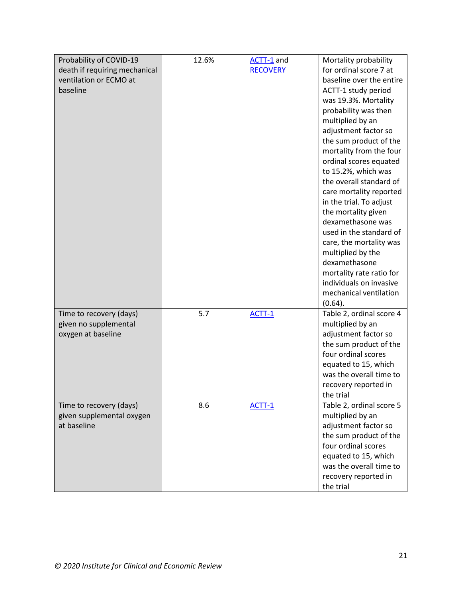| Probability of COVID-19       | 12.6% | ACTT-1 and      | Mortality probability    |
|-------------------------------|-------|-----------------|--------------------------|
| death if requiring mechanical |       | <b>RECOVERY</b> | for ordinal score 7 at   |
| ventilation or ECMO at        |       |                 | baseline over the entire |
| baseline                      |       |                 | ACTT-1 study period      |
|                               |       |                 | was 19.3%. Mortality     |
|                               |       |                 | probability was then     |
|                               |       |                 | multiplied by an         |
|                               |       |                 | adjustment factor so     |
|                               |       |                 | the sum product of the   |
|                               |       |                 | mortality from the four  |
|                               |       |                 | ordinal scores equated   |
|                               |       |                 | to 15.2%, which was      |
|                               |       |                 | the overall standard of  |
|                               |       |                 | care mortality reported  |
|                               |       |                 | in the trial. To adjust  |
|                               |       |                 | the mortality given      |
|                               |       |                 | dexamethasone was        |
|                               |       |                 | used in the standard of  |
|                               |       |                 | care, the mortality was  |
|                               |       |                 | multiplied by the        |
|                               |       |                 | dexamethasone            |
|                               |       |                 | mortality rate ratio for |
|                               |       |                 | individuals on invasive  |
|                               |       |                 | mechanical ventilation   |
|                               |       |                 | (0.64).                  |
| Time to recovery (days)       | 5.7   | ACTT-1          | Table 2, ordinal score 4 |
| given no supplemental         |       |                 | multiplied by an         |
| oxygen at baseline            |       |                 | adjustment factor so     |
|                               |       |                 | the sum product of the   |
|                               |       |                 | four ordinal scores      |
|                               |       |                 | equated to 15, which     |
|                               |       |                 | was the overall time to  |
|                               |       |                 | recovery reported in     |
|                               |       |                 | the trial                |
| Time to recovery (days)       | 8.6   | ACTT-1          | Table 2, ordinal score 5 |
| given supplemental oxygen     |       |                 | multiplied by an         |
| at baseline                   |       |                 | adjustment factor so     |
|                               |       |                 | the sum product of the   |
|                               |       |                 | four ordinal scores      |
|                               |       |                 | equated to 15, which     |
|                               |       |                 | was the overall time to  |
|                               |       |                 | recovery reported in     |
|                               |       |                 | the trial                |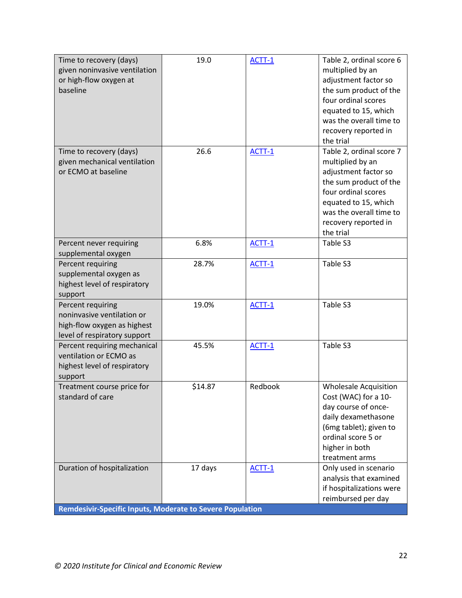| Time to recovery (days)<br>given noninvasive ventilation<br>or high-flow oxygen at<br>baseline                 | 19.0    | ACTT-1  | Table 2, ordinal score 6<br>multiplied by an<br>adjustment factor so<br>the sum product of the<br>four ordinal scores<br>equated to 15, which<br>was the overall time to<br>recovery reported in<br>the trial |
|----------------------------------------------------------------------------------------------------------------|---------|---------|---------------------------------------------------------------------------------------------------------------------------------------------------------------------------------------------------------------|
| Time to recovery (days)<br>given mechanical ventilation<br>or ECMO at baseline                                 | 26.6    | ACTT-1  | Table 2, ordinal score 7<br>multiplied by an<br>adjustment factor so<br>the sum product of the<br>four ordinal scores<br>equated to 15, which<br>was the overall time to<br>recovery reported in<br>the trial |
| Percent never requiring<br>supplemental oxygen                                                                 | 6.8%    | ACTT-1  | Table S3                                                                                                                                                                                                      |
| Percent requiring<br>supplemental oxygen as<br>highest level of respiratory<br>support                         | 28.7%   | ACTT-1  | Table S3                                                                                                                                                                                                      |
| Percent requiring<br>noninvasive ventilation or<br>high-flow oxygen as highest<br>level of respiratory support | 19.0%   | ACTT-1  | Table S3                                                                                                                                                                                                      |
| Percent requiring mechanical<br>ventilation or ECMO as<br>highest level of respiratory<br>support              | 45.5%   | ACTT-1  | Table S3                                                                                                                                                                                                      |
| Treatment course price for<br>standard of care                                                                 | \$14.87 | Redbook | <b>Wholesale Acquisition</b><br>Cost (WAC) for a 10-<br>day course of once-<br>daily dexamethasone<br>(6mg tablet); given to<br>ordinal score 5 or<br>higher in both<br>treatment arms                        |
| Duration of hospitalization<br><b>Remdesivir-Specific Inputs, Moderate to Severe Population</b>                | 17 days | ACTT-1  | Only used in scenario<br>analysis that examined<br>if hospitalizations were<br>reimbursed per day                                                                                                             |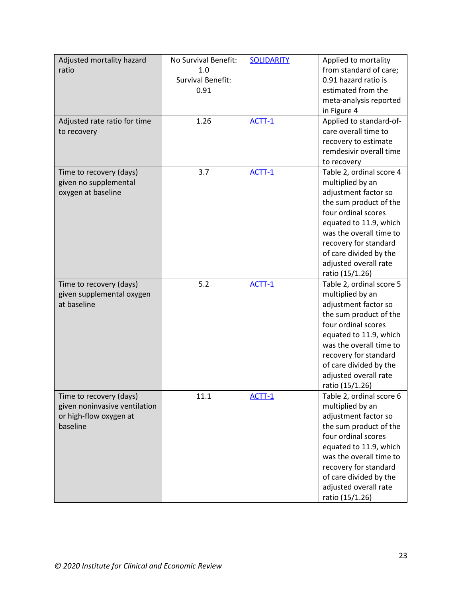| Adjusted mortality hazard     | No Survival Benefit:     | <b>SOLIDARITY</b> | Applied to mortality     |
|-------------------------------|--------------------------|-------------------|--------------------------|
| ratio                         | 1.0                      |                   | from standard of care;   |
|                               | <b>Survival Benefit:</b> |                   | 0.91 hazard ratio is     |
|                               | 0.91                     |                   | estimated from the       |
|                               |                          |                   | meta-analysis reported   |
|                               |                          |                   | in Figure 4              |
| Adjusted rate ratio for time  | 1.26                     | ACTT-1            | Applied to standard-of-  |
| to recovery                   |                          |                   | care overall time to     |
|                               |                          |                   | recovery to estimate     |
|                               |                          |                   | remdesivir overall time  |
|                               |                          |                   | to recovery              |
| Time to recovery (days)       | 3.7                      | ACTT-1            | Table 2, ordinal score 4 |
| given no supplemental         |                          |                   | multiplied by an         |
| oxygen at baseline            |                          |                   | adjustment factor so     |
|                               |                          |                   | the sum product of the   |
|                               |                          |                   | four ordinal scores      |
|                               |                          |                   | equated to 11.9, which   |
|                               |                          |                   | was the overall time to  |
|                               |                          |                   | recovery for standard    |
|                               |                          |                   | of care divided by the   |
|                               |                          |                   | adjusted overall rate    |
|                               |                          |                   | ratio (15/1.26)          |
| Time to recovery (days)       | 5.2                      | ACTT-1            | Table 2, ordinal score 5 |
| given supplemental oxygen     |                          |                   | multiplied by an         |
| at baseline                   |                          |                   | adjustment factor so     |
|                               |                          |                   | the sum product of the   |
|                               |                          |                   | four ordinal scores      |
|                               |                          |                   | equated to 11.9, which   |
|                               |                          |                   | was the overall time to  |
|                               |                          |                   | recovery for standard    |
|                               |                          |                   | of care divided by the   |
|                               |                          |                   | adjusted overall rate    |
|                               |                          |                   | ratio (15/1.26)          |
| Time to recovery (days)       | 11.1                     | ACTT-1            | Table 2, ordinal score 6 |
| given noninvasive ventilation |                          |                   | multiplied by an         |
| or high-flow oxygen at        |                          |                   | adjustment factor so     |
| baseline                      |                          |                   | the sum product of the   |
|                               |                          |                   | four ordinal scores      |
|                               |                          |                   | equated to 11.9, which   |
|                               |                          |                   | was the overall time to  |
|                               |                          |                   | recovery for standard    |
|                               |                          |                   | of care divided by the   |
|                               |                          |                   | adjusted overall rate    |
|                               |                          |                   | ratio (15/1.26)          |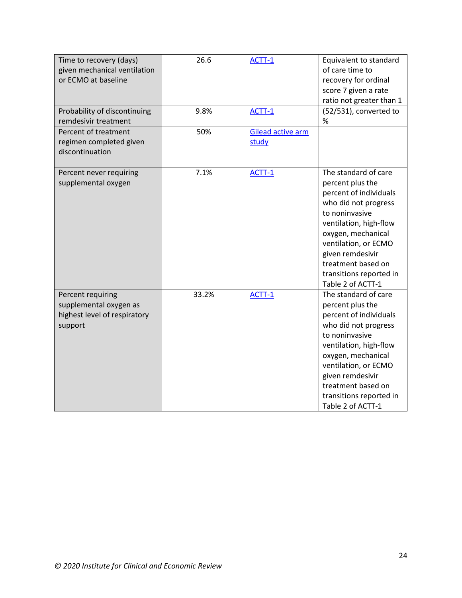| Time to recovery (days)<br>given mechanical ventilation<br>or ECMO at baseline         | 26.6  | ACTT-1                            | Equivalent to standard<br>of care time to<br>recovery for ordinal<br>score 7 given a rate<br>ratio not greater than 1                                                                                                                                                          |
|----------------------------------------------------------------------------------------|-------|-----------------------------------|--------------------------------------------------------------------------------------------------------------------------------------------------------------------------------------------------------------------------------------------------------------------------------|
| Probability of discontinuing<br>remdesivir treatment                                   | 9.8%  | ACTT-1                            | (52/531), converted to<br>$\%$                                                                                                                                                                                                                                                 |
| Percent of treatment<br>regimen completed given<br>discontinuation                     | 50%   | <b>Gilead active arm</b><br>study |                                                                                                                                                                                                                                                                                |
| Percent never requiring<br>supplemental oxygen                                         | 7.1%  | ACTT-1                            | The standard of care<br>percent plus the<br>percent of individuals<br>who did not progress<br>to noninvasive<br>ventilation, high-flow<br>oxygen, mechanical<br>ventilation, or ECMO<br>given remdesivir<br>treatment based on<br>transitions reported in<br>Table 2 of ACTT-1 |
| Percent requiring<br>supplemental oxygen as<br>highest level of respiratory<br>support | 33.2% | ACTT-1                            | The standard of care<br>percent plus the<br>percent of individuals<br>who did not progress<br>to noninvasive<br>ventilation, high-flow<br>oxygen, mechanical<br>ventilation, or ECMO<br>given remdesivir<br>treatment based on<br>transitions reported in<br>Table 2 of ACTT-1 |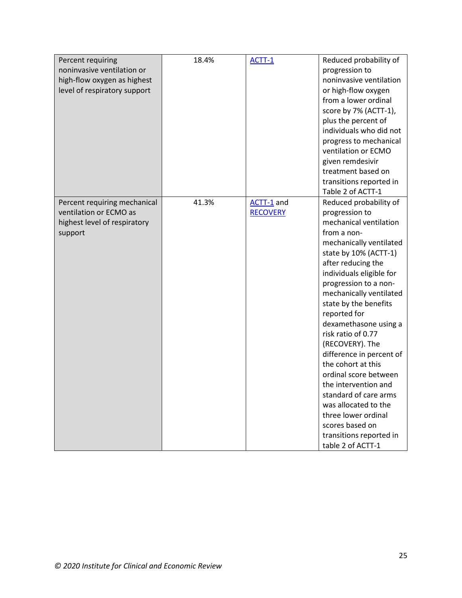| Percent requiring            | 18.4% | ACTT-1          | Reduced probability of   |
|------------------------------|-------|-----------------|--------------------------|
| noninvasive ventilation or   |       |                 | progression to           |
| high-flow oxygen as highest  |       |                 | noninvasive ventilation  |
| level of respiratory support |       |                 | or high-flow oxygen      |
|                              |       |                 | from a lower ordinal     |
|                              |       |                 | score by 7% (ACTT-1),    |
|                              |       |                 | plus the percent of      |
|                              |       |                 | individuals who did not  |
|                              |       |                 | progress to mechanical   |
|                              |       |                 | ventilation or ECMO      |
|                              |       |                 | given remdesivir         |
|                              |       |                 | treatment based on       |
|                              |       |                 | transitions reported in  |
|                              |       |                 | Table 2 of ACTT-1        |
| Percent requiring mechanical | 41.3% | ACTT-1 and      | Reduced probability of   |
| ventilation or ECMO as       |       | <b>RECOVERY</b> | progression to           |
| highest level of respiratory |       |                 | mechanical ventilation   |
| support                      |       |                 | from a non-              |
|                              |       |                 | mechanically ventilated  |
|                              |       |                 | state by 10% (ACTT-1)    |
|                              |       |                 | after reducing the       |
|                              |       |                 | individuals eligible for |
|                              |       |                 | progression to a non-    |
|                              |       |                 | mechanically ventilated  |
|                              |       |                 | state by the benefits    |
|                              |       |                 | reported for             |
|                              |       |                 | dexamethasone using a    |
|                              |       |                 | risk ratio of 0.77       |
|                              |       |                 | (RECOVERY). The          |
|                              |       |                 | difference in percent of |
|                              |       |                 | the cohort at this       |
|                              |       |                 | ordinal score between    |
|                              |       |                 | the intervention and     |
|                              |       |                 | standard of care arms    |
|                              |       |                 | was allocated to the     |
|                              |       |                 | three lower ordinal      |
|                              |       |                 | scores based on          |
|                              |       |                 | transitions reported in  |
|                              |       |                 | table 2 of ACTT-1        |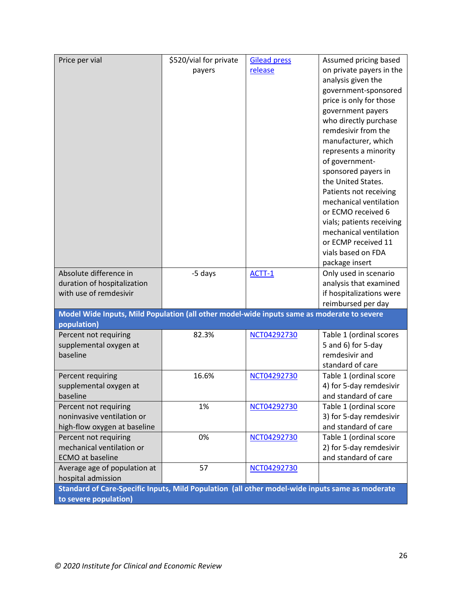| Price per vial                                                                                  | \$520/vial for private | <b>Gilead press</b> | Assumed pricing based     |
|-------------------------------------------------------------------------------------------------|------------------------|---------------------|---------------------------|
|                                                                                                 | payers                 | release             | on private payers in the  |
|                                                                                                 |                        |                     | analysis given the        |
|                                                                                                 |                        |                     | government-sponsored      |
|                                                                                                 |                        |                     | price is only for those   |
|                                                                                                 |                        |                     | government payers         |
|                                                                                                 |                        |                     | who directly purchase     |
|                                                                                                 |                        |                     | remdesivir from the       |
|                                                                                                 |                        |                     | manufacturer, which       |
|                                                                                                 |                        |                     | represents a minority     |
|                                                                                                 |                        |                     | of government-            |
|                                                                                                 |                        |                     | sponsored payers in       |
|                                                                                                 |                        |                     | the United States.        |
|                                                                                                 |                        |                     | Patients not receiving    |
|                                                                                                 |                        |                     | mechanical ventilation    |
|                                                                                                 |                        |                     | or ECMO received 6        |
|                                                                                                 |                        |                     | vials; patients receiving |
|                                                                                                 |                        |                     | mechanical ventilation    |
|                                                                                                 |                        |                     | or ECMP received 11       |
|                                                                                                 |                        |                     | vials based on FDA        |
|                                                                                                 |                        |                     | package insert            |
| Absolute difference in                                                                          | -5 days                | ACTT-1              | Only used in scenario     |
| duration of hospitalization                                                                     |                        |                     | analysis that examined    |
| with use of remdesivir                                                                          |                        |                     | if hospitalizations were  |
|                                                                                                 |                        |                     | reimbursed per day        |
| Model Wide Inputs, Mild Population (all other model-wide inputs same as moderate to severe      |                        |                     |                           |
| population)                                                                                     |                        |                     |                           |
| Percent not requiring                                                                           | 82.3%                  | NCT04292730         | Table 1 (ordinal scores   |
| supplemental oxygen at                                                                          |                        |                     | 5 and 6) for 5-day        |
| baseline                                                                                        |                        |                     | remdesivir and            |
|                                                                                                 |                        |                     | standard of care          |
| Percent requiring                                                                               | 16.6%                  | NCT04292730         | Table 1 (ordinal score    |
| supplemental oxygen at                                                                          |                        |                     | 4) for 5-day remdesivir   |
| baseline                                                                                        |                        |                     | and standard of care      |
| Percent not requiring                                                                           | 1%                     | NCT04292730         | Table 1 (ordinal score    |
| noninvasive ventilation or                                                                      |                        |                     | 3) for 5-day remdesivir   |
| high-flow oxygen at baseline                                                                    |                        |                     | and standard of care      |
| Percent not requiring                                                                           | 0%                     | NCT04292730         | Table 1 (ordinal score    |
| mechanical ventilation or                                                                       |                        |                     | 2) for 5-day remdesivir   |
| <b>ECMO</b> at baseline                                                                         |                        |                     | and standard of care      |
| Average age of population at                                                                    | 57                     | NCT04292730         |                           |
| hospital admission                                                                              |                        |                     |                           |
| Standard of Care-Specific Inputs, Mild Population (all other model-wide inputs same as moderate |                        |                     |                           |
| to severe population)                                                                           |                        |                     |                           |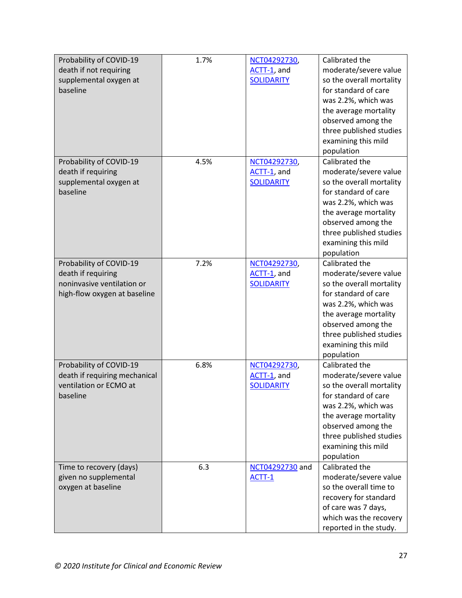| Probability of COVID-19       | 1.7% | NCT04292730,      | Calibrated the               |
|-------------------------------|------|-------------------|------------------------------|
| death if not requiring        |      | ACTT-1, and       | moderate/severe value        |
| supplemental oxygen at        |      | <b>SOLIDARITY</b> | so the overall mortality     |
| baseline                      |      |                   | for standard of care         |
|                               |      |                   | was 2.2%, which was          |
|                               |      |                   | the average mortality        |
|                               |      |                   | observed among the           |
|                               |      |                   | three published studies      |
|                               |      |                   | examining this mild          |
|                               |      |                   | population                   |
| Probability of COVID-19       | 4.5% | NCT04292730,      | Calibrated the               |
| death if requiring            |      | ACTT-1, and       | moderate/severe value        |
| supplemental oxygen at        |      | <b>SOLIDARITY</b> | so the overall mortality     |
| baseline                      |      |                   | for standard of care         |
|                               |      |                   | was 2.2%, which was          |
|                               |      |                   | the average mortality        |
|                               |      |                   | observed among the           |
|                               |      |                   | three published studies      |
|                               |      |                   | examining this mild          |
|                               |      |                   |                              |
|                               | 7.2% |                   | population<br>Calibrated the |
| Probability of COVID-19       |      | NCT04292730,      |                              |
| death if requiring            |      | ACTT-1, and       | moderate/severe value        |
| noninvasive ventilation or    |      | <b>SOLIDARITY</b> | so the overall mortality     |
| high-flow oxygen at baseline  |      |                   | for standard of care         |
|                               |      |                   | was 2.2%, which was          |
|                               |      |                   | the average mortality        |
|                               |      |                   | observed among the           |
|                               |      |                   | three published studies      |
|                               |      |                   | examining this mild          |
|                               |      |                   | population                   |
| Probability of COVID-19       | 6.8% | NCT04292730,      | Calibrated the               |
| death if requiring mechanical |      | ACTT-1, and       | moderate/severe value        |
| ventilation or ECMO at        |      | <b>SOLIDARITY</b> | so the overall mortality     |
| baseline                      |      |                   | for standard of care         |
|                               |      |                   | was 2.2%, which was          |
|                               |      |                   | the average mortality        |
|                               |      |                   | observed among the           |
|                               |      |                   | three published studies      |
|                               |      |                   | examining this mild          |
|                               |      |                   | population                   |
| Time to recovery (days)       | 6.3  | NCT04292730 and   | Calibrated the               |
| given no supplemental         |      | ACTT-1            | moderate/severe value        |
| oxygen at baseline            |      |                   | so the overall time to       |
|                               |      |                   | recovery for standard        |
|                               |      |                   | of care was 7 days,          |
|                               |      |                   | which was the recovery       |
|                               |      |                   | reported in the study.       |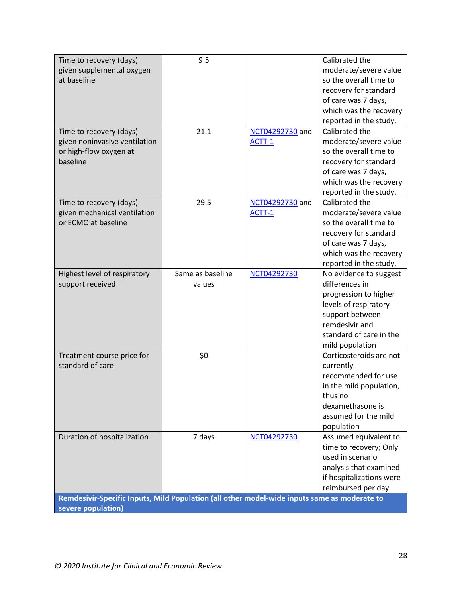| Time to recovery (days)                                                                      | 9.5              |                 | Calibrated the           |
|----------------------------------------------------------------------------------------------|------------------|-----------------|--------------------------|
| given supplemental oxygen                                                                    |                  |                 | moderate/severe value    |
| at baseline                                                                                  |                  |                 | so the overall time to   |
|                                                                                              |                  |                 | recovery for standard    |
|                                                                                              |                  |                 | of care was 7 days,      |
|                                                                                              |                  |                 | which was the recovery   |
|                                                                                              |                  |                 | reported in the study.   |
| Time to recovery (days)                                                                      | 21.1             | NCT04292730 and | Calibrated the           |
| given noninvasive ventilation                                                                |                  | ACTT-1          | moderate/severe value    |
| or high-flow oxygen at                                                                       |                  |                 | so the overall time to   |
| baseline                                                                                     |                  |                 | recovery for standard    |
|                                                                                              |                  |                 | of care was 7 days,      |
|                                                                                              |                  |                 | which was the recovery   |
|                                                                                              |                  |                 | reported in the study.   |
| Time to recovery (days)                                                                      | 29.5             | NCT04292730 and | Calibrated the           |
| given mechanical ventilation                                                                 |                  | ACTT-1          | moderate/severe value    |
| or ECMO at baseline                                                                          |                  |                 | so the overall time to   |
|                                                                                              |                  |                 | recovery for standard    |
|                                                                                              |                  |                 | of care was 7 days,      |
|                                                                                              |                  |                 | which was the recovery   |
|                                                                                              |                  |                 | reported in the study.   |
| Highest level of respiratory                                                                 | Same as baseline | NCT04292730     | No evidence to suggest   |
| support received                                                                             | values           |                 | differences in           |
|                                                                                              |                  |                 | progression to higher    |
|                                                                                              |                  |                 | levels of respiratory    |
|                                                                                              |                  |                 | support between          |
|                                                                                              |                  |                 | remdesivir and           |
|                                                                                              |                  |                 | standard of care in the  |
|                                                                                              |                  |                 | mild population          |
| Treatment course price for                                                                   | \$0              |                 | Corticosteroids are not  |
| standard of care                                                                             |                  |                 | currently                |
|                                                                                              |                  |                 | recommended for use      |
|                                                                                              |                  |                 | in the mild population,  |
|                                                                                              |                  |                 | thus no                  |
|                                                                                              |                  |                 | dexamethasone is         |
|                                                                                              |                  |                 | assumed for the mild     |
|                                                                                              |                  |                 | population               |
| Duration of hospitalization                                                                  | 7 days           | NCT04292730     | Assumed equivalent to    |
|                                                                                              |                  |                 | time to recovery; Only   |
|                                                                                              |                  |                 | used in scenario         |
|                                                                                              |                  |                 | analysis that examined   |
|                                                                                              |                  |                 | if hospitalizations were |
|                                                                                              |                  |                 | reimbursed per day       |
| Remdesivir-Specific Inputs, Mild Population (all other model-wide inputs same as moderate to |                  |                 |                          |
| severe population)                                                                           |                  |                 |                          |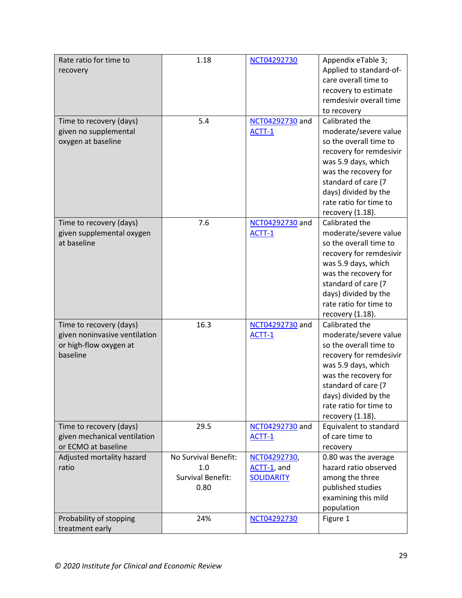| Rate ratio for time to<br>recovery                   | 1.18                     | NCT04292730       | Appendix eTable 3;<br>Applied to standard-of- |
|------------------------------------------------------|--------------------------|-------------------|-----------------------------------------------|
|                                                      |                          |                   | care overall time to                          |
|                                                      |                          |                   | recovery to estimate                          |
|                                                      |                          |                   | remdesivir overall time                       |
|                                                      |                          |                   | to recovery                                   |
| Time to recovery (days)                              | 5.4                      | NCT04292730 and   | Calibrated the                                |
| given no supplemental                                |                          | ACTT-1            | moderate/severe value                         |
| oxygen at baseline                                   |                          |                   | so the overall time to                        |
|                                                      |                          |                   | recovery for remdesivir                       |
|                                                      |                          |                   | was 5.9 days, which                           |
|                                                      |                          |                   | was the recovery for                          |
|                                                      |                          |                   | standard of care (7                           |
|                                                      |                          |                   | days) divided by the                          |
|                                                      |                          |                   | rate ratio for time to                        |
|                                                      |                          |                   | recovery $(1.18)$ .                           |
| Time to recovery (days)<br>given supplemental oxygen | 7.6                      | NCT04292730 and   | Calibrated the<br>moderate/severe value       |
| at baseline                                          |                          | ACTT-1            | so the overall time to                        |
|                                                      |                          |                   | recovery for remdesivir                       |
|                                                      |                          |                   | was 5.9 days, which                           |
|                                                      |                          |                   | was the recovery for                          |
|                                                      |                          |                   | standard of care (7                           |
|                                                      |                          |                   | days) divided by the                          |
|                                                      |                          |                   | rate ratio for time to                        |
|                                                      |                          |                   | recovery (1.18).                              |
| Time to recovery (days)                              | 16.3                     | NCT04292730 and   | Calibrated the                                |
| given noninvasive ventilation                        |                          | ACTT-1            | moderate/severe value                         |
| or high-flow oxygen at                               |                          |                   | so the overall time to                        |
| baseline                                             |                          |                   | recovery for remdesivir                       |
|                                                      |                          |                   | was 5.9 days, which                           |
|                                                      |                          |                   | was the recovery for                          |
|                                                      |                          |                   | standard of care (7                           |
|                                                      |                          |                   | days) divided by the                          |
|                                                      |                          |                   | rate ratio for time to                        |
|                                                      |                          |                   | recovery (1.18).                              |
| Time to recovery (days)                              | 29.5                     | NCT04292730 and   | Equivalent to standard                        |
| given mechanical ventilation                         |                          | ACTT-1            | of care time to                               |
| or ECMO at baseline                                  |                          |                   | recovery                                      |
| Adjusted mortality hazard                            | No Survival Benefit:     | NCT04292730,      | 0.80 was the average                          |
| ratio                                                | 1.0                      | ACTT-1, and       | hazard ratio observed                         |
|                                                      | <b>Survival Benefit:</b> | <b>SOLIDARITY</b> | among the three                               |
|                                                      | 0.80                     |                   | published studies                             |
|                                                      |                          |                   | examining this mild                           |
|                                                      |                          |                   | population                                    |
| Probability of stopping                              | 24%                      | NCT04292730       | Figure 1                                      |
| treatment early                                      |                          |                   |                                               |